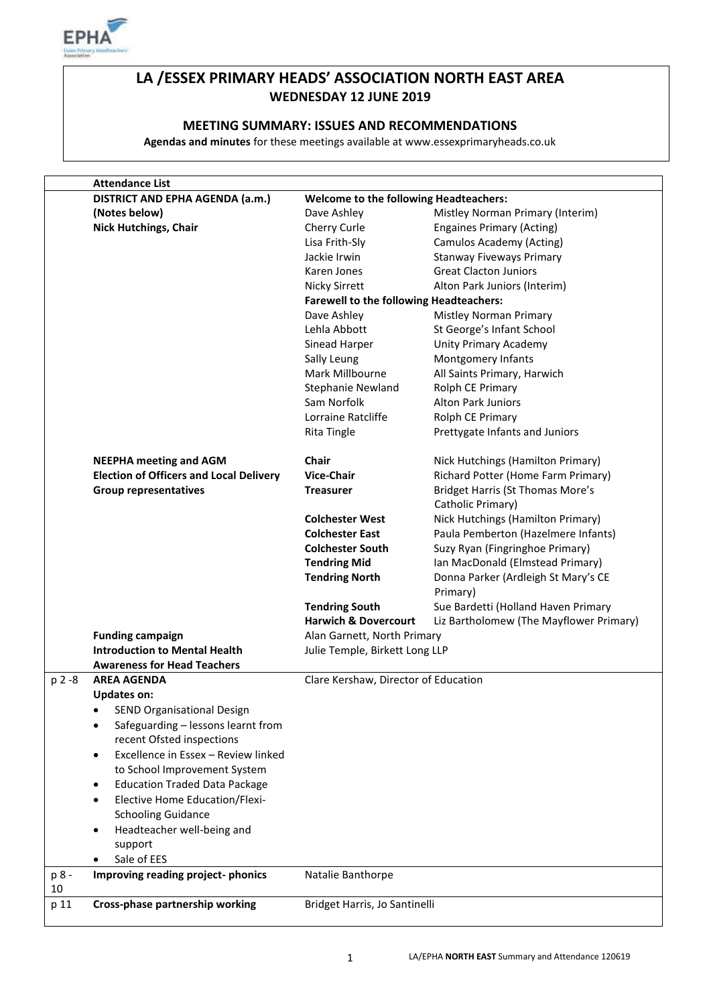

# **LA /ESSEX PRIMARY HEADS' ASSOCIATION NORTH EAST AREA WEDNESDAY 12 JUNE 2019**

### **MEETING SUMMARY: ISSUES AND RECOMMENDATIONS**

**Agendas and minutes** for these meetings available at www.essexprimaryheads.co.uk

|        | <b>Attendance List</b>                          |                                                |                                         |
|--------|-------------------------------------------------|------------------------------------------------|-----------------------------------------|
|        | DISTRICT AND EPHA AGENDA (a.m.)                 | <b>Welcome to the following Headteachers:</b>  |                                         |
|        | (Notes below)                                   | Dave Ashley                                    | Mistley Norman Primary (Interim)        |
|        | <b>Nick Hutchings, Chair</b>                    | Cherry Curle                                   | <b>Engaines Primary (Acting)</b>        |
|        |                                                 | Lisa Frith-Sly                                 | Camulos Academy (Acting)                |
|        |                                                 | Jackie Irwin                                   | <b>Stanway Fiveways Primary</b>         |
|        |                                                 | Karen Jones                                    | <b>Great Clacton Juniors</b>            |
|        |                                                 | Nicky Sirrett                                  | Alton Park Juniors (Interim)            |
|        |                                                 | <b>Farewell to the following Headteachers:</b> |                                         |
|        |                                                 | Dave Ashley                                    | Mistley Norman Primary                  |
|        |                                                 | Lehla Abbott                                   | St George's Infant School               |
|        |                                                 | Sinead Harper                                  | Unity Primary Academy                   |
|        |                                                 | Sally Leung                                    | Montgomery Infants                      |
|        |                                                 | Mark Millbourne                                | All Saints Primary, Harwich             |
|        |                                                 | <b>Stephanie Newland</b>                       | Rolph CE Primary                        |
|        |                                                 | Sam Norfolk                                    | <b>Alton Park Juniors</b>               |
|        |                                                 |                                                |                                         |
|        |                                                 | Lorraine Ratcliffe                             | Rolph CE Primary                        |
|        |                                                 | <b>Rita Tingle</b>                             | Prettygate Infants and Juniors          |
|        |                                                 |                                                |                                         |
|        | <b>NEEPHA meeting and AGM</b>                   | <b>Chair</b>                                   | Nick Hutchings (Hamilton Primary)       |
|        | <b>Election of Officers and Local Delivery</b>  | <b>Vice-Chair</b>                              | Richard Potter (Home Farm Primary)      |
|        | <b>Group representatives</b>                    | <b>Treasurer</b>                               | <b>Bridget Harris (St Thomas More's</b> |
|        |                                                 |                                                | Catholic Primary)                       |
|        |                                                 | <b>Colchester West</b>                         | Nick Hutchings (Hamilton Primary)       |
|        |                                                 | <b>Colchester East</b>                         | Paula Pemberton (Hazelmere Infants)     |
|        |                                                 | <b>Colchester South</b>                        | Suzy Ryan (Fingringhoe Primary)         |
|        |                                                 | <b>Tendring Mid</b>                            | Ian MacDonald (Elmstead Primary)        |
|        |                                                 | <b>Tendring North</b>                          | Donna Parker (Ardleigh St Mary's CE     |
|        |                                                 |                                                | Primary)                                |
|        |                                                 | <b>Tendring South</b>                          | Sue Bardetti (Holland Haven Primary     |
|        |                                                 | <b>Harwich &amp; Dovercourt</b>                | Liz Bartholomew (The Mayflower Primary) |
|        | <b>Funding campaign</b>                         | Alan Garnett, North Primary                    |                                         |
|        | <b>Introduction to Mental Health</b>            | Julie Temple, Birkett Long LLP                 |                                         |
|        | <b>Awareness for Head Teachers</b>              |                                                |                                         |
| p 2 -8 | <b>AREA AGENDA</b>                              | Clare Kershaw, Director of Education           |                                         |
|        | <b>Updates on:</b>                              |                                                |                                         |
|        | SEND Organisational Design                      |                                                |                                         |
|        | Safeguarding - lessons learnt from<br>$\bullet$ |                                                |                                         |
|        | recent Ofsted inspections                       |                                                |                                         |
|        | Excellence in Essex - Review linked             |                                                |                                         |
|        | $\bullet$                                       |                                                |                                         |
|        | to School Improvement System                    |                                                |                                         |
|        | <b>Education Traded Data Package</b>            |                                                |                                         |
|        | <b>Elective Home Education/Flexi-</b>           |                                                |                                         |
|        | <b>Schooling Guidance</b>                       |                                                |                                         |
|        | Headteacher well-being and<br>$\bullet$         |                                                |                                         |
|        | support                                         |                                                |                                         |
|        | Sale of EES<br>٠                                |                                                |                                         |
| p 8 -  | Improving reading project-phonics               | Natalie Banthorpe                              |                                         |
| 10     |                                                 |                                                |                                         |
| p 11   | Cross-phase partnership working                 | Bridget Harris, Jo Santinelli                  |                                         |
|        |                                                 |                                                |                                         |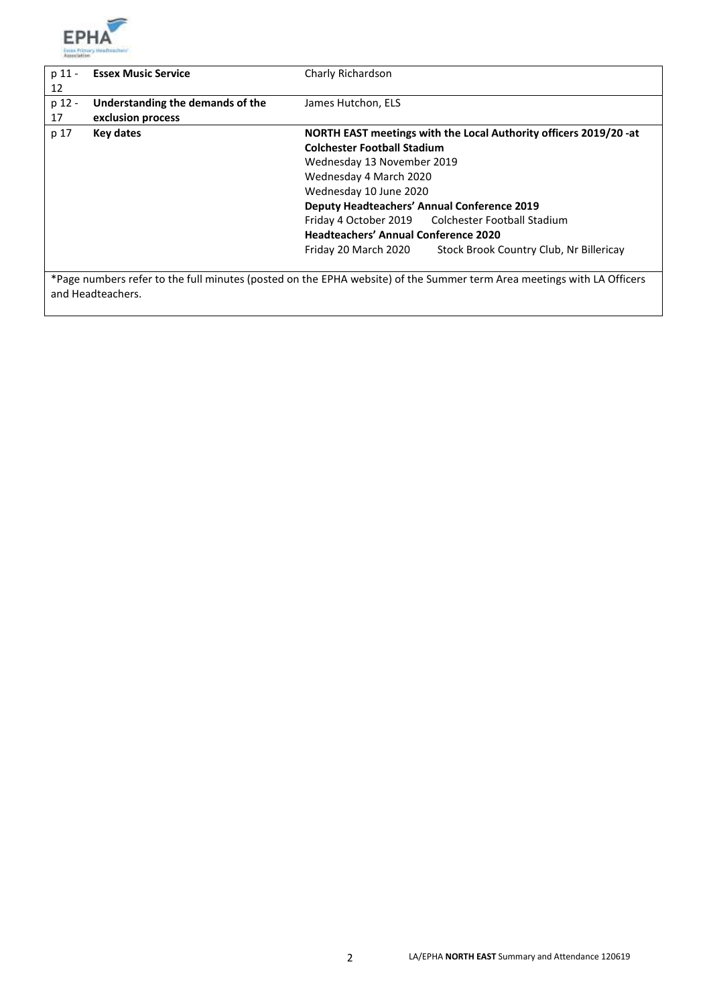

| p 11 - | <b>Essex Music Service</b>       | Charly Richardson                                                                                                      |  |
|--------|----------------------------------|------------------------------------------------------------------------------------------------------------------------|--|
| 12     |                                  |                                                                                                                        |  |
| p 12 - | Understanding the demands of the | James Hutchon, ELS                                                                                                     |  |
| 17     | exclusion process                |                                                                                                                        |  |
| p 17   | Key dates                        | NORTH EAST meetings with the Local Authority officers 2019/20 -at                                                      |  |
|        |                                  | <b>Colchester Football Stadium</b>                                                                                     |  |
|        |                                  | Wednesday 13 November 2019                                                                                             |  |
|        |                                  | Wednesday 4 March 2020                                                                                                 |  |
|        |                                  | Wednesday 10 June 2020                                                                                                 |  |
|        |                                  | <b>Deputy Headteachers' Annual Conference 2019</b>                                                                     |  |
|        |                                  | Friday 4 October 2019 Colchester Football Stadium                                                                      |  |
|        |                                  | <b>Headteachers' Annual Conference 2020</b>                                                                            |  |
|        |                                  | Stock Brook Country Club, Nr Billericay<br>Friday 20 March 2020                                                        |  |
|        |                                  |                                                                                                                        |  |
|        |                                  | *Dogo numbars refer to the full minutes (nosted on the FDUA website) of the Cummer term Area meetings with LA Officers |  |

\*Page numbers refer to the full minutes (posted on the EPHA website) of the Summer term Area meetings with LA Officers and Headteachers.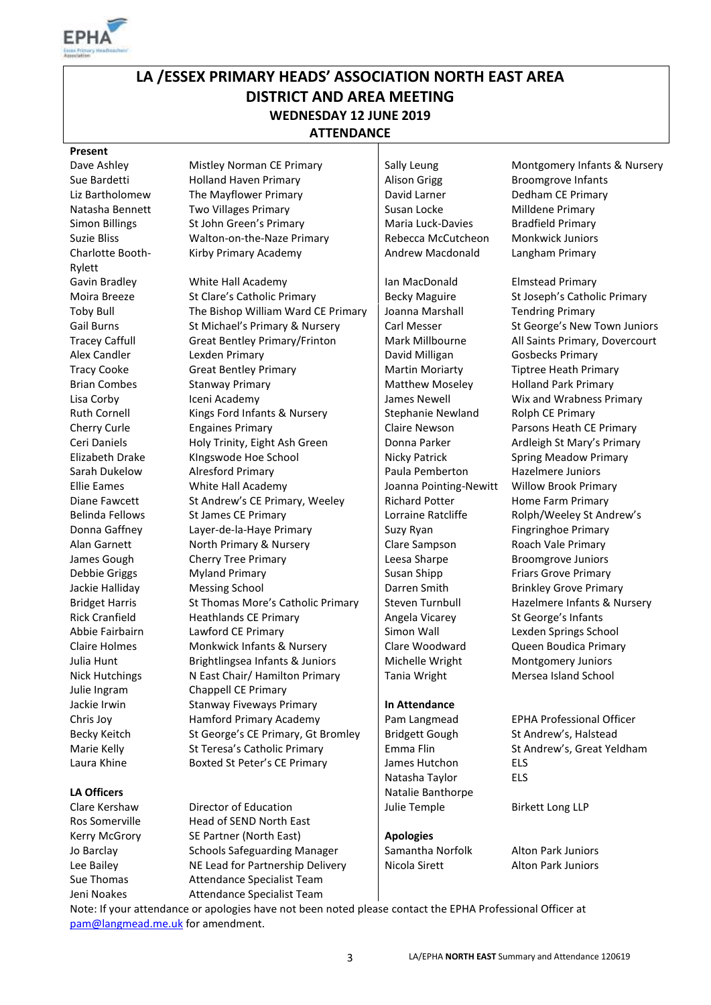

# **LA /ESSEX PRIMARY HEADS' ASSOCIATION NORTH EAST AREA DISTRICT AND AREA MEETING WEDNESDAY 12 JUNE 2019 ATTENDANCE**

**Present**<br>Dave Ashley Charlotte Booth-Rylett

Sue Bardetti **Holland Haven Primary** Alison Grigg Broomgrove Infants Liz Bartholomew The Mayflower Primary David Larner Dedham CE Primary Natasha Bennett Two Villages Primary Susan Locke Milldene Primary Natasha Bennett Simon Billings St John Green's Primary Maria Luck-Davies Bradfield Primary Suzie Bliss Walton-on-the-Naze Primary Rebecca McCutcheon Monkwick Juniors

Gavin Bradley **Ian White Hall Academy** Ian MacDonald Elmstead Primary Moira Breeze St Clare's Catholic Primary Becky Maguire St Joseph's Catholic Primary Toby Bull The Bishop William Ward CE Primary Joanna Marshall Tendring Primary Gail Burns St Michael's Primary & Nursery Carl Messer St George's New Town Juniors Tracey Caffull Great Bentley Primary/Frinton | Mark Millbourne All Saints Primary, Dovercourt Alex Candler Lexden Primary David Milligan Gosbecks Primary Tracy Cooke Great Bentley Primary **Martin Moriarty** Tiptree Heath Primary Brian Combes Stanway Primary Matthew Moseley Holland Park Primary Lisa Corby Iceni Academy James Newell Wix and Wrabness Primary Ruth Cornell Kings Ford Infants & Nursery Stephanie Newland Rolph CE Primary Cherry Curle Engaines Primary Claire Newson Parsons Heath CE Primary Ceri Daniels **Holy Trinity, Eight Ash Green** Donna Parker Ardleigh St Mary's Primary Elizabeth Drake KIngswode Hoe School Nicky Patrick Spring Meadow Primary Sarah Dukelow Alresford Primary Paula Pemberton Hazelmere Juniors Ellie Eames White Hall Academy Joanna Pointing-Newitt Willow Brook Primary Diane Fawcett St Andrew's CE Primary, Weeley Richard Potter Home Farm Primary Belinda Fellows St James CE Primary States and Lorraine Ratcliffe Rolph/Weeley St Andrew's Donna Gaffney Layer-de-la-Haye Primary Suzy Ryan Fingringhoe Primary Alan Garnett **North Primary & Nursery** Clare Sampson Roach Vale Primary James Gough Cherry Tree Primary Leesa Sharpe Broomgrove Juniors Debbie Griggs Myland Primary Nuslem Susan Shipp Friars Grove Primary Jackie Halliday Messing School **Darren Smith** Darren Smith Brinkley Grove Primary Bridget Harris St Thomas More's Catholic Primary Steven Turnbull Hazelmere Infants & Nursery Rick Cranfield **Heathlands CE Primary Figure 1** Angela Vicarey St George's Infants Abbie Fairbairn Lawford CE Primary Simon Wall Lexden Springs School Claire Holmes Monkwick Infants & Nursery Clare Woodward Queen Boudica Primary Julia Hunt **Brightlingsea Infants & Juniors** Michelle Wright Montgomery Juniors Nick Hutchings Nick N East Chair/ Hamilton Primary Tania Wright Mersea Island School Julie Ingram Chappell CE Primary Jackie Irwin Stanway Fiveways Primary **In Attendance**  Chris Joy Hamford Primary Academy Pam Langmead EPHA Professional Officer Becky Keitch St George's CE Primary, Gt Bromley | Bridgett Gough St Andrew's, Halstead Marie Kelly St Teresa's Catholic Primary Fund Flin St Andrew's, Great Yeldham Laura Khine **Boxted St Peter's CE Primary** James Hutchon ELS

Clare Kershaw Director of Education and Julie Temple Birkett Long LLP Ros Somerville Head of SEND North East Kerry McGrory SE Partner (North East) **Apologies** Jo Barclay Schools Safeguarding Manager Samantha Norfolk Alton Park Juniors Lee Bailey **NE Lead for Partnership Delivery** Nicola Sirett Alton Park Juniors Sue Thomas Attendance Specialist Team Jeni Noakes Attendance Specialist Team

Kirby Primary Academy **Andrew Macdonald** Langham Primary

Natasha Taylor ELS **LA Officers** Natalie Banthorpe

Mistley Norman CE Primary Sally Leung Montgomery Infants & Nursery

Note: If your attendance or apologies have not been noted please contact the EPHA Professional Officer at [pam@langmead.me.uk](mailto:pam@langmead.me.uk) for amendment.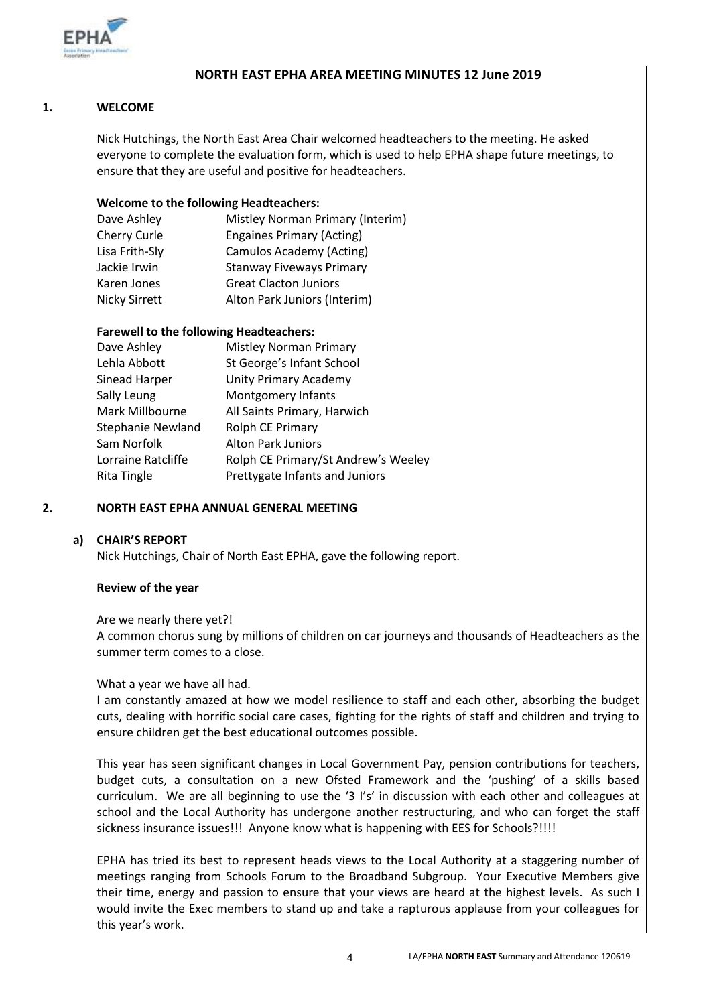

### **NORTH EAST EPHA AREA MEETING MINUTES 12 June 2019**

#### **1. WELCOME**

Nick Hutchings, the North East Area Chair welcomed headteachers to the meeting. He asked everyone to complete the evaluation form, which is used to help EPHA shape future meetings, to ensure that they are useful and positive for headteachers.

#### **Welcome to the following Headteachers:**

| Mistley Norman Primary (Interim) |
|----------------------------------|
| <b>Engaines Primary (Acting)</b> |
| Camulos Academy (Acting)         |
| <b>Stanway Fiveways Primary</b>  |
| <b>Great Clacton Juniors</b>     |
| Alton Park Juniors (Interim)     |
|                                  |

### **Farewell to the following Headteachers:**

| Dave Ashley        | <b>Mistley Norman Primary</b>       |
|--------------------|-------------------------------------|
| Lehla Abbott       | St George's Infant School           |
| Sinead Harper      | <b>Unity Primary Academy</b>        |
| Sally Leung        | <b>Montgomery Infants</b>           |
| Mark Millbourne    | All Saints Primary, Harwich         |
| Stephanie Newland  | Rolph CE Primary                    |
| Sam Norfolk        | <b>Alton Park Juniors</b>           |
| Lorraine Ratcliffe | Rolph CE Primary/St Andrew's Weeley |
| Rita Tingle        | Prettygate Infants and Juniors      |
|                    |                                     |

#### **2. NORTH EAST EPHA ANNUAL GENERAL MEETING**

#### **a) CHAIR'S REPORT**

Nick Hutchings, Chair of North East EPHA, gave the following report.

#### **Review of the year**

#### Are we nearly there yet?!

A common chorus sung by millions of children on car journeys and thousands of Headteachers as the summer term comes to a close.

#### What a year we have all had.

I am constantly amazed at how we model resilience to staff and each other, absorbing the budget cuts, dealing with horrific social care cases, fighting for the rights of staff and children and trying to ensure children get the best educational outcomes possible.

This year has seen significant changes in Local Government Pay, pension contributions for teachers, budget cuts, a consultation on a new Ofsted Framework and the 'pushing' of a skills based curriculum. We are all beginning to use the '3 I's' in discussion with each other and colleagues at school and the Local Authority has undergone another restructuring, and who can forget the staff sickness insurance issues!!! Anyone know what is happening with EES for Schools?!!!!

EPHA has tried its best to represent heads views to the Local Authority at a staggering number of meetings ranging from Schools Forum to the Broadband Subgroup. Your Executive Members give their time, energy and passion to ensure that your views are heard at the highest levels. As such I would invite the Exec members to stand up and take a rapturous applause from your colleagues for this year's work.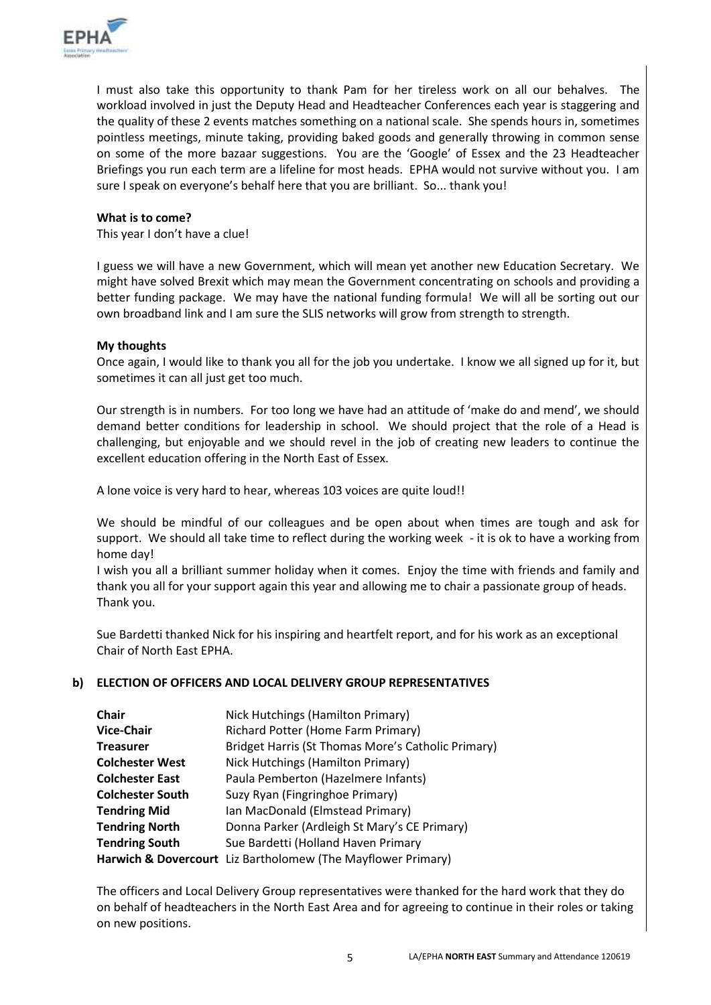

I must also take this opportunity to thank Pam for her tireless work on all our behalves. The workload involved in just the Deputy Head and Headteacher Conferences each year is staggering and the quality of these 2 events matches something on a national scale. She spends hours in, sometimes pointless meetings, minute taking, providing baked goods and generally throwing in common sense on some of the more bazaar suggestions. You are the 'Google' of Essex and the 23 Headteacher Briefings you run each term are a lifeline for most heads. EPHA would not survive without you. I am sure I speak on everyone's behalf here that you are brilliant. So... thank you!

#### **What is to come?**

This year I don't have a clue!

I guess we will have a new Government, which will mean yet another new Education Secretary. We might have solved Brexit which may mean the Government concentrating on schools and providing a better funding package. We may have the national funding formula! We will all be sorting out our own broadband link and I am sure the SLIS networks will grow from strength to strength.

### **My thoughts**

Once again, I would like to thank you all for the job you undertake. I know we all signed up for it, but sometimes it can all just get too much.

Our strength is in numbers. For too long we have had an attitude of 'make do and mend', we should demand better conditions for leadership in school. We should project that the role of a Head is challenging, but enjoyable and we should revel in the job of creating new leaders to continue the excellent education offering in the North East of Essex.

A lone voice is very hard to hear, whereas 103 voices are quite loud!!

We should be mindful of our colleagues and be open about when times are tough and ask for support. We should all take time to reflect during the working week - it is ok to have a working from home day!

I wish you all a brilliant summer holiday when it comes. Enjoy the time with friends and family and thank you all for your support again this year and allowing me to chair a passionate group of heads. Thank you.

Sue Bardetti thanked Nick for his inspiring and heartfelt report, and for his work as an exceptional Chair of North East EPHA.

#### **b) ELECTION OF OFFICERS AND LOCAL DELIVERY GROUP REPRESENTATIVES**

| <b>Chair</b>            | Nick Hutchings (Hamilton Primary)                            |
|-------------------------|--------------------------------------------------------------|
| <b>Vice-Chair</b>       | Richard Potter (Home Farm Primary)                           |
| <b>Treasurer</b>        | Bridget Harris (St Thomas More's Catholic Primary)           |
| <b>Colchester West</b>  | Nick Hutchings (Hamilton Primary)                            |
| <b>Colchester East</b>  | Paula Pemberton (Hazelmere Infants)                          |
| <b>Colchester South</b> | Suzy Ryan (Fingringhoe Primary)                              |
| <b>Tendring Mid</b>     | Ian MacDonald (Elmstead Primary)                             |
| <b>Tendring North</b>   | Donna Parker (Ardleigh St Mary's CE Primary)                 |
| <b>Tendring South</b>   | Sue Bardetti (Holland Haven Primary                          |
|                         | Harwich & Dovercourt Liz Bartholomew (The Mayflower Primary) |

The officers and Local Delivery Group representatives were thanked for the hard work that they do on behalf of headteachers in the North East Area and for agreeing to continue in their roles or taking on new positions.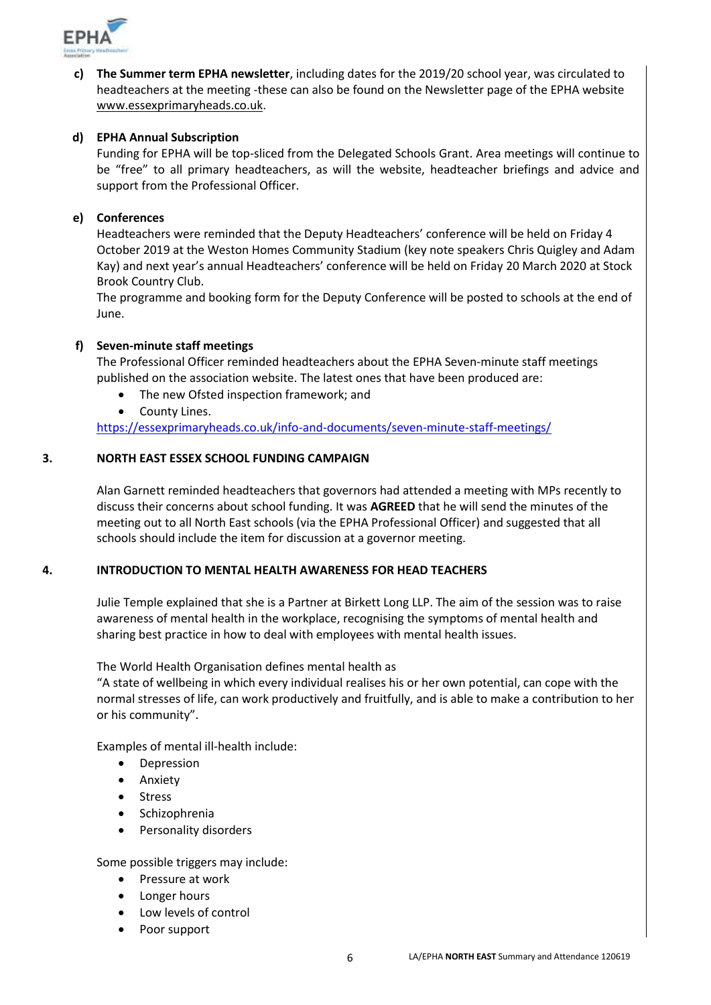

**c) The Summer term EPHA newsletter**, including dates for the 2019/20 school year, was circulated to headteachers at the meeting -these can also be found on the Newsletter page of the EPHA website [www.essexprimaryheads.co.uk.](http://www.essexprimaryheads.co.uk/)

## **d) EPHA Annual Subscription**

Funding for EPHA will be top-sliced from the Delegated Schools Grant. Area meetings will continue to be "free" to all primary headteachers, as will the website, headteacher briefings and advice and support from the Professional Officer.

### **e) Conferences**

Headteachers were reminded that the Deputy Headteachers' conference will be held on Friday 4 October 2019 at the Weston Homes Community Stadium (key note speakers Chris Quigley and Adam Kay) and next year's annual Headteachers' conference will be held on Friday 20 March 2020 at Stock Brook Country Club.

The programme and booking form for the Deputy Conference will be posted to schools at the end of June.

### **f) Seven-minute staff meetings**

The Professional Officer reminded headteachers about the EPHA Seven-minute staff meetings published on the association website. The latest ones that have been produced are:

- The new Ofsted inspection framework; and
- County Lines.

<https://essexprimaryheads.co.uk/info-and-documents/seven-minute-staff-meetings/>

### **3. NORTH EAST ESSEX SCHOOL FUNDING CAMPAIGN**

Alan Garnett reminded headteachers that governors had attended a meeting with MPs recently to discuss their concerns about school funding. It was **AGREED** that he will send the minutes of the meeting out to all North East schools (via the EPHA Professional Officer) and suggested that all schools should include the item for discussion at a governor meeting.

#### **4. INTRODUCTION TO MENTAL HEALTH AWARENESS FOR HEAD TEACHERS**

Julie Temple explained that she is a Partner at Birkett Long LLP. The aim of the session was to raise awareness of mental health in the workplace, recognising the symptoms of mental health and sharing best practice in how to deal with employees with mental health issues.

The World Health Organisation defines mental health as

"A state of wellbeing in which every individual realises his or her own potential, can cope with the normal stresses of life, can work productively and fruitfully, and is able to make a contribution to her or his community".

Examples of mental ill-health include:

- Depression
- Anxiety
- Stress
- Schizophrenia
- Personality disorders

Some possible triggers may include:

- Pressure at work
- Longer hours
- Low levels of control
- Poor support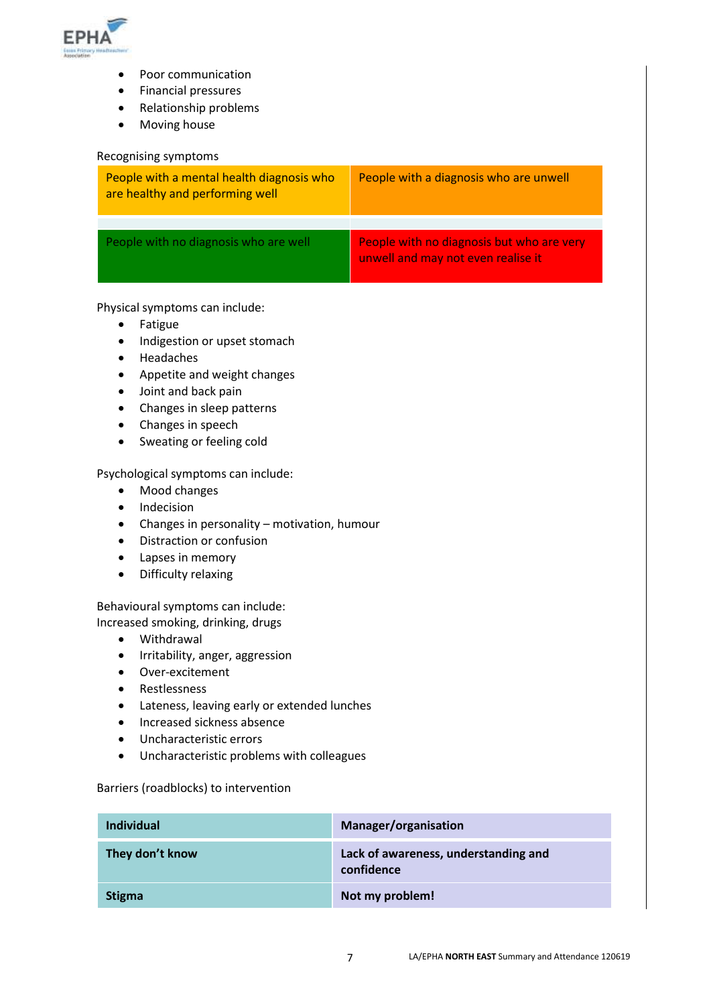

- Poor communication
- Financial pressures
- Relationship problems
- Moving house

#### Recognising symptoms

| People with a mental health diagnosis who<br>are healthy and performing well | People with a diagnosis who are unwell                                          |
|------------------------------------------------------------------------------|---------------------------------------------------------------------------------|
|                                                                              |                                                                                 |
| People with no diagnosis who are well                                        | People with no diagnosis but who are very<br>unwell and may not even realise it |

Physical symptoms can include:

- Fatigue
- Indigestion or upset stomach
- Headaches
- Appetite and weight changes
- Joint and back pain
- Changes in sleep patterns
- Changes in speech
- Sweating or feeling cold

Psychological symptoms can include:

- Mood changes
- Indecision
- Changes in personality motivation, humour
- Distraction or confusion
- Lapses in memory
- Difficulty relaxing

Behavioural symptoms can include:

Increased smoking, drinking, drugs

- Withdrawal
- Irritability, anger, aggression
- Over-excitement
- Restlessness
- Lateness, leaving early or extended lunches
- Increased sickness absence
- Uncharacteristic errors
- Uncharacteristic problems with colleagues

#### Barriers (roadblocks) to intervention

| <b>Individual</b> | Manager/organisation                               |
|-------------------|----------------------------------------------------|
| They don't know   | Lack of awareness, understanding and<br>confidence |
| <b>Stigma</b>     | Not my problem!                                    |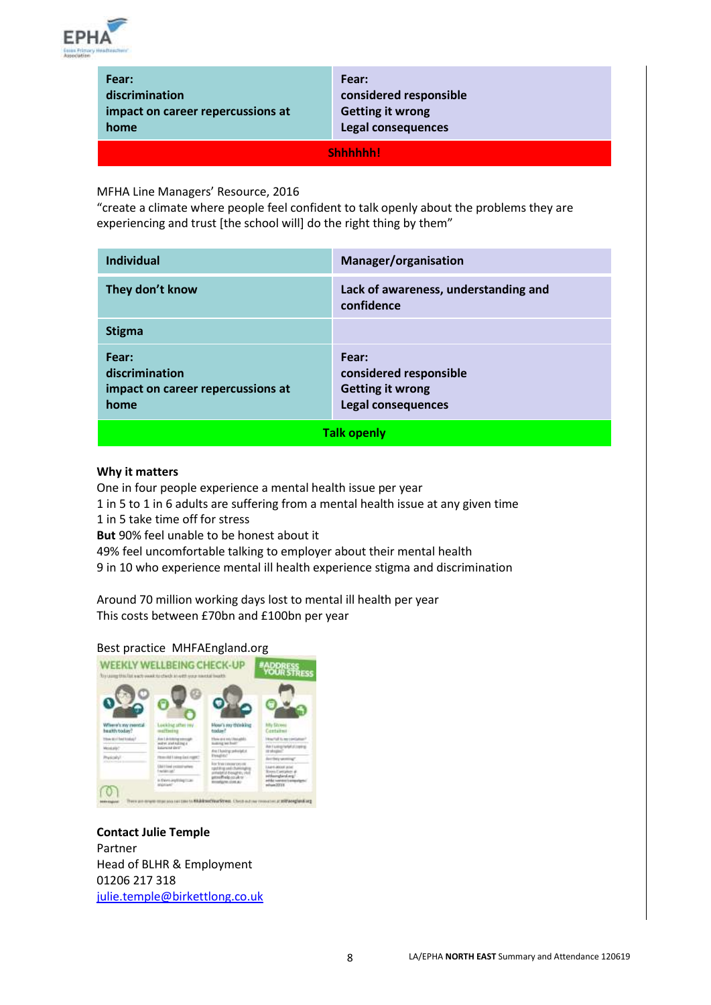

| Fear:                             |
|-----------------------------------|
| discrimination                    |
| impact on career repercussions at |
| home                              |

**Fear: considered responsible Getting it wrong Legal consequences**

**Shhhhhh!**

MFHA Line Managers' Resource, 2016

"create a climate where people feel confident to talk openly about the problems they are experiencing and trust [the school will] do the right thing by them"

| <b>Individual</b>                                                    | Manager/organisation                                                                    |  |
|----------------------------------------------------------------------|-----------------------------------------------------------------------------------------|--|
| They don't know                                                      | Lack of awareness, understanding and<br>confidence                                      |  |
| <b>Stigma</b>                                                        |                                                                                         |  |
| Fear:<br>discrimination<br>impact on career repercussions at<br>home | Fear:<br>considered responsible<br><b>Getting it wrong</b><br><b>Legal consequences</b> |  |
| <b>Talk openly</b>                                                   |                                                                                         |  |

#### **Why it matters**

One in four people experience a mental health issue per year

1 in 5 to 1 in 6 adults are suffering from a mental health issue at any given time

1 in 5 take time off for stress

**But** 90% feel unable to be honest about it

49% feel uncomfortable talking to employer about their mental health

9 in 10 who experience mental ill health experience stigma and discrimination

Around 70 million working days lost to mental ill health per year This costs between £70bn and £100bn per year

## Best practice MHFAEngland.org



**Contact Julie Temple** Partner Head of BLHR & Employment 01206 217 318 [julie.temple@birkettlong.co.uk](mailto:julie.temple@birkettlong.co.uk)